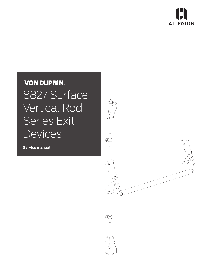

# **VON DUPRIN.** 8827 Surface Vertical Rod Series Exit **Devices**

**Service manual**

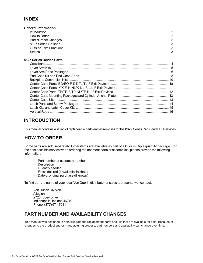#### **INDEX**

| General Information |  |
|---------------------|--|
|                     |  |
|                     |  |
|                     |  |
|                     |  |
|                     |  |
|                     |  |
|                     |  |

#### **8827 Series Device Parts**

### **INTRODUCTION**

This manual contains a listing of replaceable parts and assemblies for the 8827 Series Panic and FEH Devices.

#### **HOW TO ORDER**

Some parts are sold separately. Other items are available as part of a kit or multiple quantity package. For the best possible service when ordering replacement parts or assemblies, please provide the following information:

- Part number or assembly number
- Description
- Quantity needed
- Finish desired (if available finished)
- Date of original purchase (if known)

To find out the name of your local Von Duprin distributor or sales representative, contact:

Von Duprin Division **Allegion** 2720 Tobey Drive Indianapolis, Indiana 46219 Phone: (877) 671-7011

#### **PART NUMBER AND AVAILABILITY CHANGES**

This manual was designed to help illustrate the replacement parts and kits that are available for sale. Because of changes to the product and/or manufacturing process, part numbers and availability can change over time.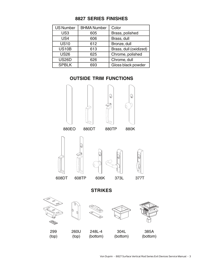| <b>US Number</b> | <b>BHMA Number</b> | Color                  |
|------------------|--------------------|------------------------|
| US <sub>3</sub>  | 605                | Brass, polished        |
| US4              | 606                | Brass, dull            |
| <b>US10</b>      | 612                | Bronze, dull           |
| <b>US10B</b>     | 613                | Brass, dull (oxidized) |
| <b>US26</b>      | 625                | Chrome, polished       |
| <b>US26D</b>     | 626                | Chrome, dull           |
| <b>SPBLK</b>     | 693                | Gloss black powder     |

#### **8827 SERIES FINISHES**

#### **OUTSIDE TRIM FUNCTIONS**

















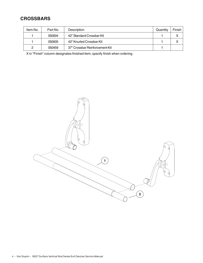## **CROSSBARS**

| Item No. | Part No. | <b>Description</b>             | Quantity | Finish I |
|----------|----------|--------------------------------|----------|----------|
|          | 050004   | 42" Standard Crossbar Kit      |          |          |
|          | 050005   | 42" Knurled Crossbar Kit       |          |          |
| っ        | 050459   | 37" Crossbar Reinforcement Kit |          |          |

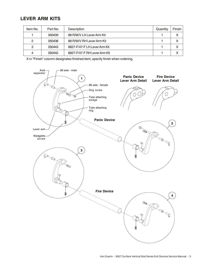#### **LEVER ARM KITS**

| Item No. | Part No. | Description                  | Quantity | Finish |
|----------|----------|------------------------------|----------|--------|
|          | 050439   | 88 R/M/V LH Lever Arm Kit    |          | Χ      |
| 2        | 050438   | 88 R/M/V RH Lever Arm Kit    |          | x      |
| 3        | 050443   | 8827-F/47-FLH Lever Arm Kit  |          | x      |
| 4        | 050442   | 8827-F/47-F RH Lever Arm Kit |          |        |

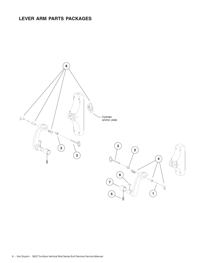## **LEVER ARM PARTS PACKAGES**

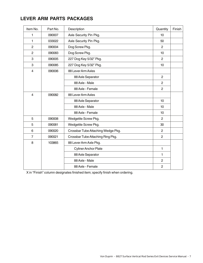# **LEVER ARM PARTS PACKAGES**

| Item No.       | Part No. | Description                        | Quantity       | Finish |
|----------------|----------|------------------------------------|----------------|--------|
| 1              | 090007   | Axle Security Pin Pkg.             | 10             |        |
| 1              | 033022   | Axle Security Pin Pkg.             | 50             |        |
| $\overline{c}$ | 090004   | Dog Screw Pkg.                     | $\overline{2}$ |        |
| $\overline{2}$ | 090083   | Dog Screw Pkg.                     | 10             |        |
| 3              | 090005   | 227 Dog Key 5/32" Pkg.             | $\overline{2}$ |        |
| 3              | 090085   | 227 Dog Key 5/32" Pkg.             | 10             |        |
| $\overline{4}$ | 090006   | 88 Lever Arm Axles                 |                |        |
|                |          | 88 Axle Separator                  | $\overline{2}$ |        |
|                |          | 88 Axle - Male                     | $\overline{2}$ |        |
|                |          | 88 Axle - Female                   | $\overline{2}$ |        |
| $\overline{4}$ | 090082   | 88 Lever Arm Axles                 |                |        |
|                |          | 88 Axle Separator                  | 10             |        |
|                |          | 88 Axle - Male                     | 10             |        |
|                |          | 88 Axle - Female                   | 10             |        |
| 5              | 090008   | Wedgetite Screw Pkg.               | $\overline{c}$ |        |
| 5              | 090081   | Wedgetite Screw Pkg.               | 30             |        |
| 6              | 090020   | Crossbar Tube Attaching Wedge Pkg. | $\overline{2}$ |        |
| $\overline{7}$ | 090021   | Crossbar Tube Attaching Ring Pkg.  | $\overline{2}$ |        |
| 8              | 103865   | 88 Lever Arm Axle Pkg.             |                |        |
|                |          | <b>Cyliner Anchor Plate</b>        | $\mathbf{1}$   |        |
|                |          | 88 Axle Separator                  | 1              |        |
|                |          | 88 Axle - Male                     | $\overline{c}$ |        |
|                |          | 88 Axle - Female                   | $\overline{2}$ |        |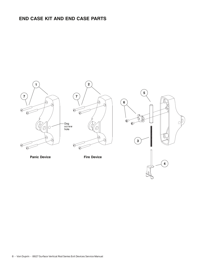# **END CASE KIT AND END CASE PARTS**

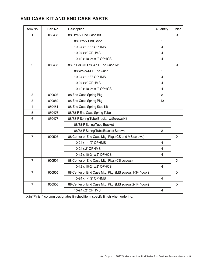# **END CASE KIT AND END CASE PARTS**

| Item No.                | Part No. | Description                                             | Quantity                | Finish |
|-------------------------|----------|---------------------------------------------------------|-------------------------|--------|
| $\mathbf{1}$            | 050435   | 88 R/M/V End Case Kit                                   |                         | X.     |
|                         |          | 88 R/M/V End Case                                       | $\mathbf{1}$            |        |
|                         |          | 10-24 x 1-1/2" OPHMS                                    | $\overline{4}$          |        |
|                         |          | 10-24 x 2" OPHMS                                        | 4                       |        |
|                         |          | 10-12 x 10-24 x 2" OPHCS                                | $\overline{4}$          |        |
| $\overline{2}$          | 050436   | 8827-F/8875-F/8847-F End Case Kit                       |                         | X      |
|                         |          | 88SV/CV/M-F End Case                                    | $\mathbf{1}$            |        |
|                         |          | 10-24 x 1-1/2" OPHMS                                    | $\overline{4}$          |        |
|                         |          | 10-24 x 2" OPHMS                                        | $\overline{4}$          |        |
|                         |          | 10-12 x 10-24 x 2" OPHCS                                | 4                       |        |
| 3                       | 090003   | 88 End Case Spring Pkg.                                 | $\overline{2}$          |        |
| 3                       | 090080   | 88 End Case Spring Pkg.                                 | 10                      |        |
| $\overline{\mathbf{4}}$ | 050451   | 88 End Case Spring Stop Kit                             | $\mathbf{1}$            |        |
| 5                       | 050476   | 88/88-F End Case Spring Tube                            | $\mathbf{1}$            |        |
| 6                       | 050477   | 88/88-F Spring Tube Bracket w/Screws Kit                |                         |        |
|                         |          | 88/88-F Spring Tube Bracket                             | $\mathbf{1}$            |        |
|                         |          | 88/88-F Spring Tube Bracket Screws                      | $\mathbf{2}$            |        |
| $\overline{7}$          | 900503   | 88 Center or End Case Mtg. Pkg. (CS and MS screws)      |                         | X      |
|                         |          | 10-24 x 1-1/2" OPHMS                                    | 4                       |        |
|                         |          | 10-24 x 2" OPHMS                                        | 4                       |        |
|                         |          | 10-12 x 10-24 x 2" OPHCS                                | $\overline{4}$          |        |
| $\overline{7}$          | 900504   | 88 Center or End Case Mtg. Pkg. (CS screws)             |                         | X      |
|                         |          | 10-12 x 10-24 x 2" OPHCS                                | 4                       |        |
| $\overline{7}$          | 900505   | 88 Center or End Case Mtg. Pkg. (MS screws 1-3/4" door) |                         | X      |
|                         |          | 10-24 x 1-1/2" OPHMS                                    | 4                       |        |
| $\overline{7}$          | 900506   | 88 Center or End Case Mtg. Pkg. (MS screws 2-1/4" door) |                         | X      |
|                         |          | 10-24 x 2" OPHMS                                        | $\overline{\mathbf{4}}$ |        |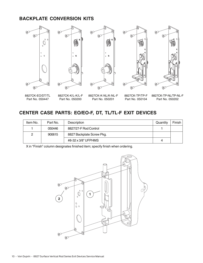#### **BACKPLATE CONVERSION KITS**



8827CK-EO/DT/TL Part No. 050447

8827CK-K/L-K/L-F Part No. 050200

8827CK-K-NL/K-NL-F Part No. 050201

8827CK-TP/TP-F Part No. 050104

8827CK-TP-NL/TP-NL-F Part No. 050202

# **CENTER CASE PARTS: EO/EO-F, DT, TL/TL-F EXIT DEVICES**

| Item No. | Part No. | Description               | Quantity | Finish |
|----------|----------|---------------------------|----------|--------|
|          | 050446   | 8827/27-F Rod Control     |          |        |
| ົ        | 900615   | 8827 Backplate Screw Pkg. |          |        |
|          |          | #8-32 x 3/8" UFPHMS       | 4        |        |

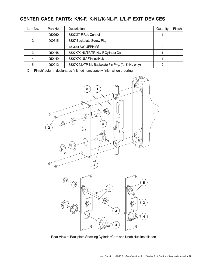# **CENTER CASE PARTS: K/K-F, K-NL/K-NL-F, L/L-F EXIT DEVICES**

| Item No. | Part No. | Description                                       | Quantity | Finish |
|----------|----------|---------------------------------------------------|----------|--------|
|          | 050260   | 8827/27-F Rod Control                             |          |        |
| 2        | 900615   | 8827 Backplate Screw Pkg.                         |          |        |
|          |          | #8-32 x 3/8" UFPHMS                               | 4        |        |
| 3        | 050448   | 8827K/K-NL/TP/TP-NL/-F Cylinder Cam               |          |        |
| 4        | 050449   | 8827K/K-NL/-F Knob Hub                            |          |        |
| 5        | 090012   | 8827K-NL/TP-NL Backplate Pin Pkg. (for K-NL only) | റ        |        |



Rear View of Backplate Showing Cylinder Cam and Knob Hub Installation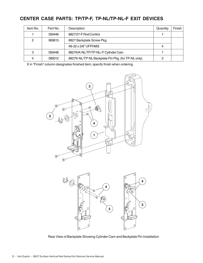# **CENTER CASE PARTS: TP/TP-F, TP-NL/TP-NL-F EXIT DEVICES**

| Item No. | Part No. | Description                                        | Quantity | Finish |
|----------|----------|----------------------------------------------------|----------|--------|
|          | 050446   | 8827/27-F Rod Control                              |          |        |
| 2        | 900615   | 8827 Backplate Screw Pkg.                          |          |        |
|          |          | #8-32 x 3/8" UFPHMS                                | 4        |        |
| 3        | 050448   | 8827K/K-NL/TP/TP-NL/-F Cylinder Cam                |          |        |
| 4        | 090012   | 8827K-NL/TP-NL Backplate Pin Pkg. (for TP-NL only) |          |        |

X in "Finish" column designates finished item; specify finish when ordering.





Rear View of Backplate Showing Cylinder Cam and Backplate Pin Installation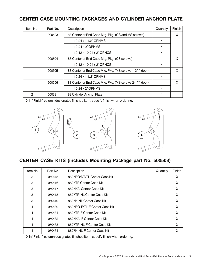# **CENTER CASE MOUNTING PACKAGES AND CYLINDER ANCHOR PLATE**

| Item No. | Part No. | Description                                             | Quantity | Finish |
|----------|----------|---------------------------------------------------------|----------|--------|
|          | 900503   | 88 Center or End Case Mtg. Pkg. (CS and MS screws)      |          | X      |
|          |          | 10-24 x 1-1/2" OPHMS                                    | 4        |        |
|          |          | 10-24 x 2" OPHMS                                        | 4        |        |
|          |          | 10-12 x 10-24 x 2" OPHCS                                | 4        |        |
|          | 900504   | 88 Center or End Case Mtg. Pkg. (CS screws)             |          | X      |
|          |          | 10-12 x 10-24 x 2" OPHCS                                | 4        |        |
|          | 900505   | 88 Center or End Case Mtg. Pkg. (MS screws 1-3/4" door) |          | X      |
|          |          | 10-24 x 1-1/2" OPHMS                                    | 4        |        |
|          | 900506   | 88 Center or End Case Mtg. Pkg. (MS screws 2-1/4" door) |          | X      |
|          |          | 10-24 x 2" OPHMS                                        | 4        |        |
| 2        | 050331   | 88 Cylinder Anchor Plate                                |          |        |

X in "Finish" column designates finished item; specify finish when ordering.







# **CENTER CASE KITS (includes Mounting Package part No. 500503)**

| Item No. | Part No. | Description                   | Quantity | Finish |
|----------|----------|-------------------------------|----------|--------|
| 3        | 050415   | 8827EO/DT/TL Center Case Kit  |          | X      |
| 3        | 050416   | 8827TP Center Case Kit        |          | X      |
| 3        | 050417   | 8827K/L Center Case Kit       |          | X      |
| 3        | 050418   | 8827TP-NL Center Case Kit     |          | X      |
| 3        | 050419   | 8827K-NL Center Case Kit      |          | X      |
| 4        | 050430   | 8827EO-F/TL-F Center Case Kit |          | X      |
| 4        | 050431   | 8827TP-F Center Case Kit      |          | X      |
| 4        | 050432   | 8827K/L-F Center Case Kit     |          | X      |
| 4        | 050433   | 8827TP-NL-F Center Case Kit   |          | X      |
| 4        | 050434   | 8827K-NL-F Center Case Kit    |          | X      |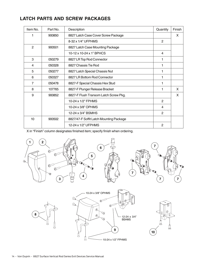## **LATCH PARTS AND SCREW PACKAGES**

| Item No.       | Part No. | Description                             | Quantity     | Finish |
|----------------|----------|-----------------------------------------|--------------|--------|
|                | 900850   | 8827 Latch Case Cover Screw Package     |              | X      |
|                |          | 8-32 x 1/4" UFPHMS                      | $\mathbf{2}$ |        |
| $\overline{2}$ | 900501   | 8827 Latch Case Mounting Package        |              |        |
|                |          | 10-12 x 10-24 x 1" BPHCS                | 4            |        |
| 3              | 050279   | 8827 LR Top Rod Connector               | 1            |        |
| 4              | 050328   | 8827 Chassis Tie Rod                    | 1            |        |
| 5              | 050277   | 8827 Latch Special Chassis Nut          | 1            |        |
| 6              | 050327   | 8827 LR Bottom Rod Connector            |              |        |
| 7              | 050478   | 8827-F Special Chassis Hex Stud         | 1            |        |
| 8              | 107765   | 8827-F Plunger Release Bracket          | 1            | X.     |
| 9              | 900852   | 8827-F Flush Transom Latch Screw Pkg.   |              | X      |
|                |          | 10-24 x 1/2" FPHMS                      | 2            |        |
|                |          | 10-24 x 3/8" OPHMS                      | 4            |        |
|                |          | 12-24 x 3/4" BSMHS                      | 2            |        |
| 10             | 900502   | 8827/47-F Soffit Latch Mounting Package |              |        |
|                |          | 12-24 x 1/2" UFPHMS                     | 2            |        |







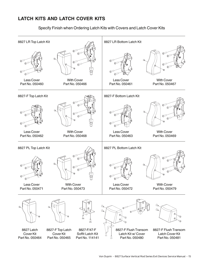# **LATCH KITS AND LATCH COVER KITS**

Specify Finish when Ordering Latch Kits with Covers and Latch Cover Kits

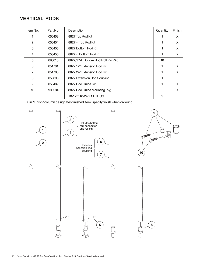#### **VERTICAL RODS**

| Item No.         | Part No. | Description                        | Quantity       | Finish |
|------------------|----------|------------------------------------|----------------|--------|
|                  | 050453   | 8827 Top Rod Kit                   |                | X      |
| 2                | 050454   | 8827-F Top Rod Kit                 |                | X      |
| 3                | 050455   | 8827 Bottom Rod Kit                |                | X      |
| 4                | 050456   | 8827-F Bottom Rod Kit              |                | X      |
| 5                | 090010   | 8827/27-F Bottom Rod Roll Pin Pkg. | 10             |        |
| 6                | 051701   | 8827 12" Extension Rod Kit         |                | X      |
| 7                | 051703   | 8827 24" Extension Rod Kit         |                | X      |
| 8                | 050093   | 8827 Extension Rod Coupling        |                |        |
| 9                | 050482   | 8827 Rod Guide Kit                 |                | X      |
| 10 <sup>10</sup> | 900534   | 8827 Rod Guide Mounting Pkg.       |                | X      |
|                  |          | 10-12 x 10-24 x 1 PTHCS            | $\overline{2}$ |        |